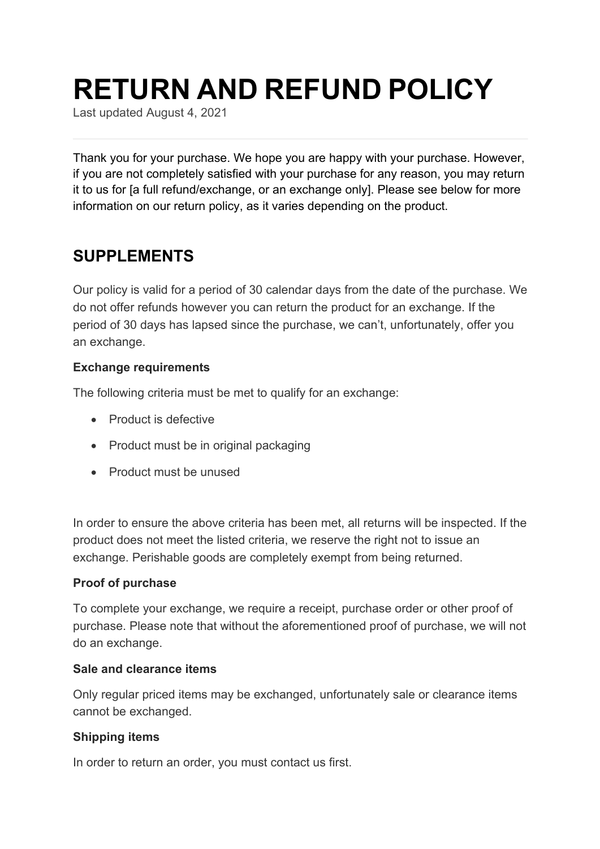# **RETURN AND REFUND POLICY**

Last updated August 4, 2021

Thank you for your purchase. We hope you are happy with your purchase. However, if you are not completely satisfied with your purchase for any reason, you may return it to us for [a full refund/exchange, or an exchange only]. Please see below for more information on our return policy, as it varies depending on the product.

### **SUPPLEMENTS**

Our policy is valid for a period of 30 calendar days from the date of the purchase. We do not offer refunds however you can return the product for an exchange. If the period of 30 days has lapsed since the purchase, we can't, unfortunately, offer you an exchange.

### **Exchange requirements**

The following criteria must be met to qualify for an exchange:

- Product is defective
- Product must be in original packaging
- Product must be unused

In order to ensure the above criteria has been met, all returns will be inspected. If the product does not meet the listed criteria, we reserve the right not to issue an exchange. Perishable goods are completely exempt from being returned.

### **Proof of purchase**

To complete your exchange, we require a receipt, purchase order or other proof of purchase. Please note that without the aforementioned proof of purchase, we will not do an exchange.

### **Sale and clearance items**

Only regular priced items may be exchanged, unfortunately sale or clearance items cannot be exchanged.

### **Shipping items**

In order to return an order, you must contact us first.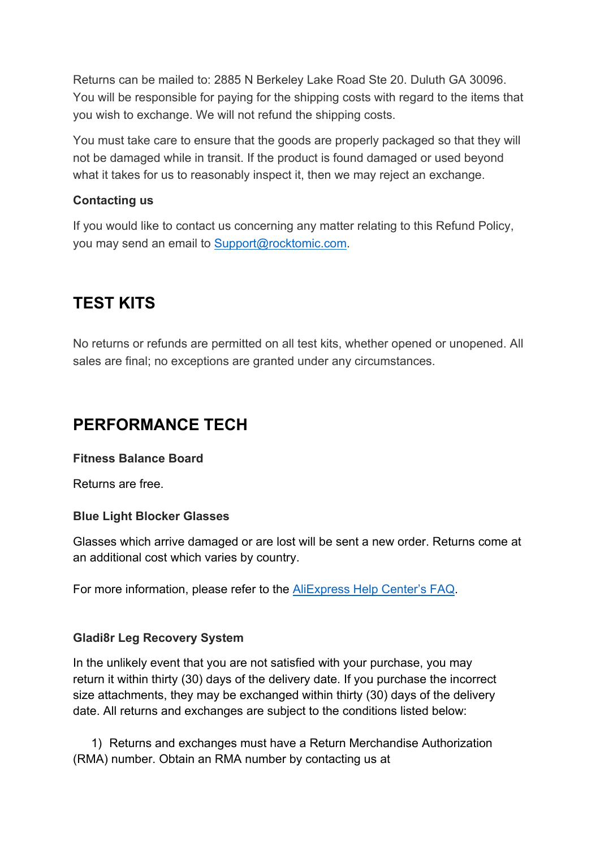Returns can be mailed to: 2885 N Berkeley Lake Road Ste 20. Duluth GA 30096. You will be responsible for paying for the shipping costs with regard to the items that you wish to exchange. We will not refund the shipping costs.

You must take care to ensure that the goods are properly packaged so that they will not be damaged while in transit. If the product is found damaged or used beyond what it takes for us to reasonably inspect it, then we may reject an exchange.

### **Contacting us**

If you would like to contact us concerning any matter relating to this Refund Policy, you may send an email to Support@rocktomic.com.

# **TEST KITS**

No returns or refunds are permitted on all test kits, whether opened or unopened. All sales are final; no exceptions are granted under any circumstances.

# **PERFORMANCE TECH**

### **Fitness Balance Board**

Returns are free.

### **Blue Light Blocker Glasses**

Glasses which arrive damaged or are lost will be sent a new order. Returns come at an additional cost which varies by country.

For more information, please refer to the AliExpress Help Center's FAQ.

### **Gladi8r Leg Recovery System**

In the unlikely event that you are not satisfied with your purchase, you may return it within thirty (30) days of the delivery date. If you purchase the incorrect size attachments, they may be exchanged within thirty (30) days of the delivery date. All returns and exchanges are subject to the conditions listed below:

1) Returns and exchanges must have a Return Merchandise Authorization (RMA) number. Obtain an RMA number by contacting us at